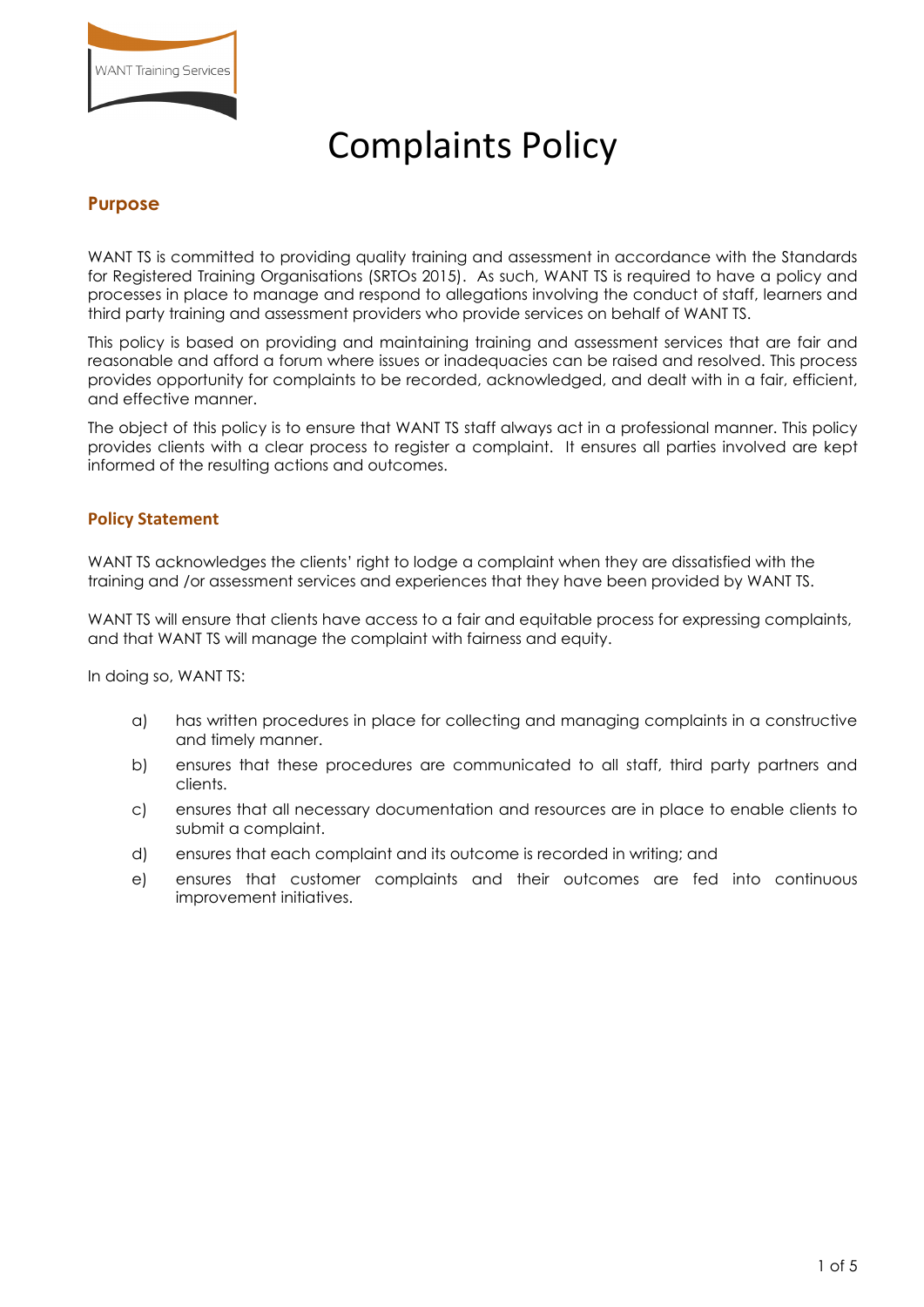

# Complaints Policy

# **Purpose**

WANT TS is committed to providing quality training and assessment in accordance with the Standards for Registered Training Organisations (SRTOs 2015). As such, WANT TS is required to have a policy and processes in place to manage and respond to allegations involving the conduct of staff, learners and third party training and assessment providers who provide services on behalf of WANT TS.

This policy is based on providing and maintaining training and assessment services that are fair and reasonable and afford a forum where issues or inadequacies can be raised and resolved. This process provides opportunity for complaints to be recorded, acknowledged, and dealt with in a fair, efficient, and effective manner.

The object of this policy is to ensure that WANT TS staff always act in a professional manner. This policy provides clients with a clear process to register a complaint. It ensures all parties involved are kept informed of the resulting actions and outcomes.

#### **Policy Statement**

WANT TS acknowledges the clients' right to lodge a complaint when they are dissatisfied with the training and /or assessment services and experiences that they have been provided by WANT TS.

WANT TS will ensure that clients have access to a fair and equitable process for expressing complaints, and that WANT TS will manage the complaint with fairness and equity.

In doing so, WANT TS:

- a) has written procedures in place for collecting and managing complaints in a constructive and timely manner.
- b) ensures that these procedures are communicated to all staff, third party partners and clients.
- c) ensures that all necessary documentation and resources are in place to enable clients to submit a complaint.
- d) ensures that each complaint and its outcome is recorded in writing; and
- e) ensures that customer complaints and their outcomes are fed into continuous improvement initiatives.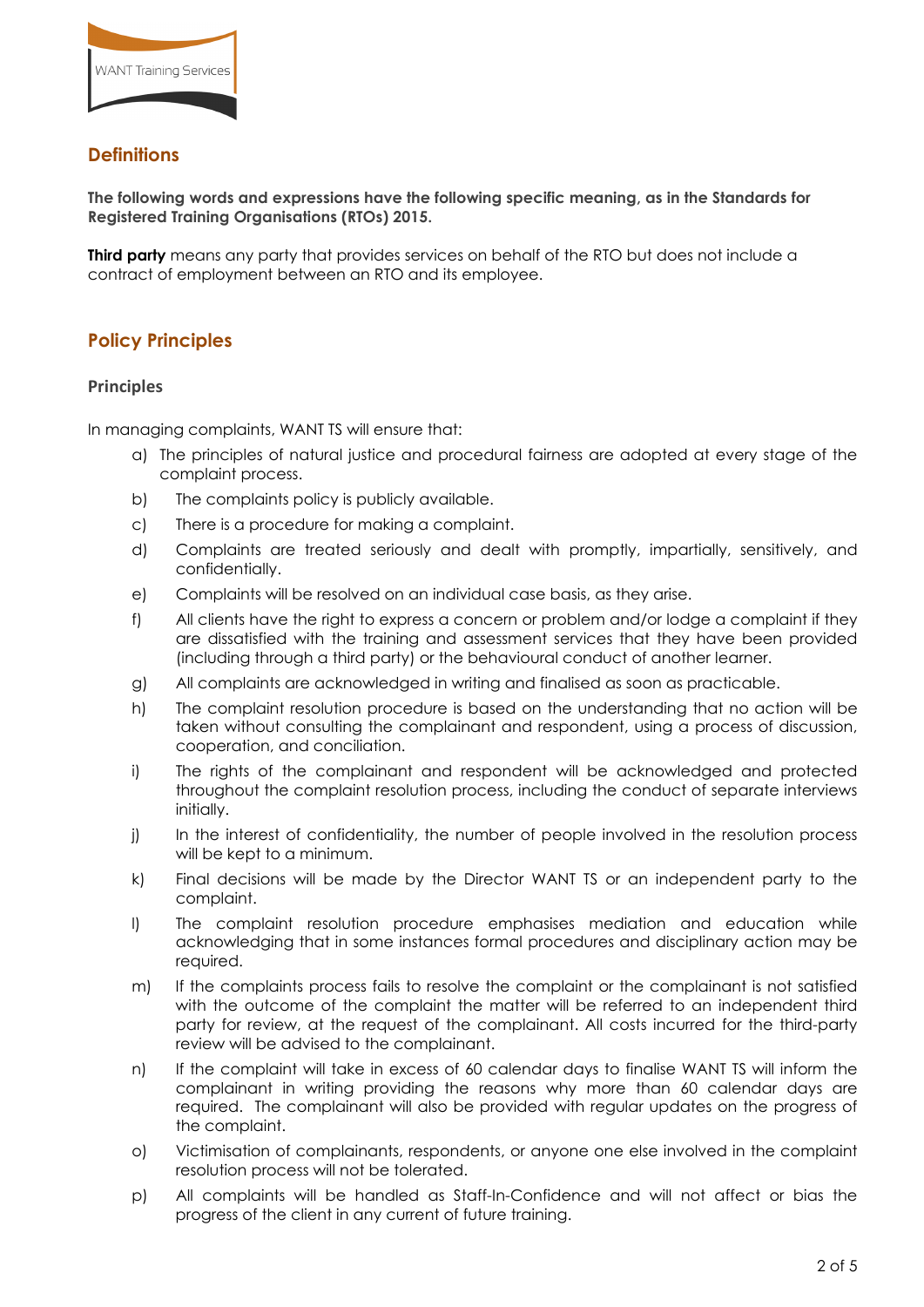

# **Definitions**

**The following words and expressions have the following specific meaning, as in the Standards for Registered Training Organisations (RTOs) 2015.** 

**Third party** means any party that provides services on behalf of the RTO but does not include a contract of employment between an RTO and its employee.

# **Policy Principles**

#### **Principles**

In managing complaints, WANT TS will ensure that:

- a) The principles of natural justice and procedural fairness are adopted at every stage of the complaint process.
- b) The complaints policy is publicly available.
- c) There is a procedure for making a complaint.
- d) Complaints are treated seriously and dealt with promptly, impartially, sensitively, and confidentially.
- e) Complaints will be resolved on an individual case basis, as they arise.
- f) All clients have the right to express a concern or problem and/or lodge a complaint if they are dissatisfied with the training and assessment services that they have been provided (including through a third party) or the behavioural conduct of another learner.
- g) All complaints are acknowledged in writing and finalised as soon as practicable.
- h) The complaint resolution procedure is based on the understanding that no action will be taken without consulting the complainant and respondent, using a process of discussion, cooperation, and conciliation.
- i) The rights of the complainant and respondent will be acknowledged and protected throughout the complaint resolution process, including the conduct of separate interviews initially.
- j) In the interest of confidentiality, the number of people involved in the resolution process will be kept to a minimum.
- k) Final decisions will be made by the Director WANT TS or an independent party to the complaint.
- l) The complaint resolution procedure emphasises mediation and education while acknowledging that in some instances formal procedures and disciplinary action may be required.
- m) If the complaints process fails to resolve the complaint or the complainant is not satisfied with the outcome of the complaint the matter will be referred to an independent third party for review, at the request of the complainant. All costs incurred for the third-party review will be advised to the complainant.
- n) If the complaint will take in excess of 60 calendar days to finalise WANT TS will inform the complainant in writing providing the reasons why more than 60 calendar days are required. The complainant will also be provided with regular updates on the progress of the complaint.
- o) Victimisation of complainants, respondents, or anyone one else involved in the complaint resolution process will not be tolerated.
- p) All complaints will be handled as Staff-In-Confidence and will not affect or bias the progress of the client in any current of future training.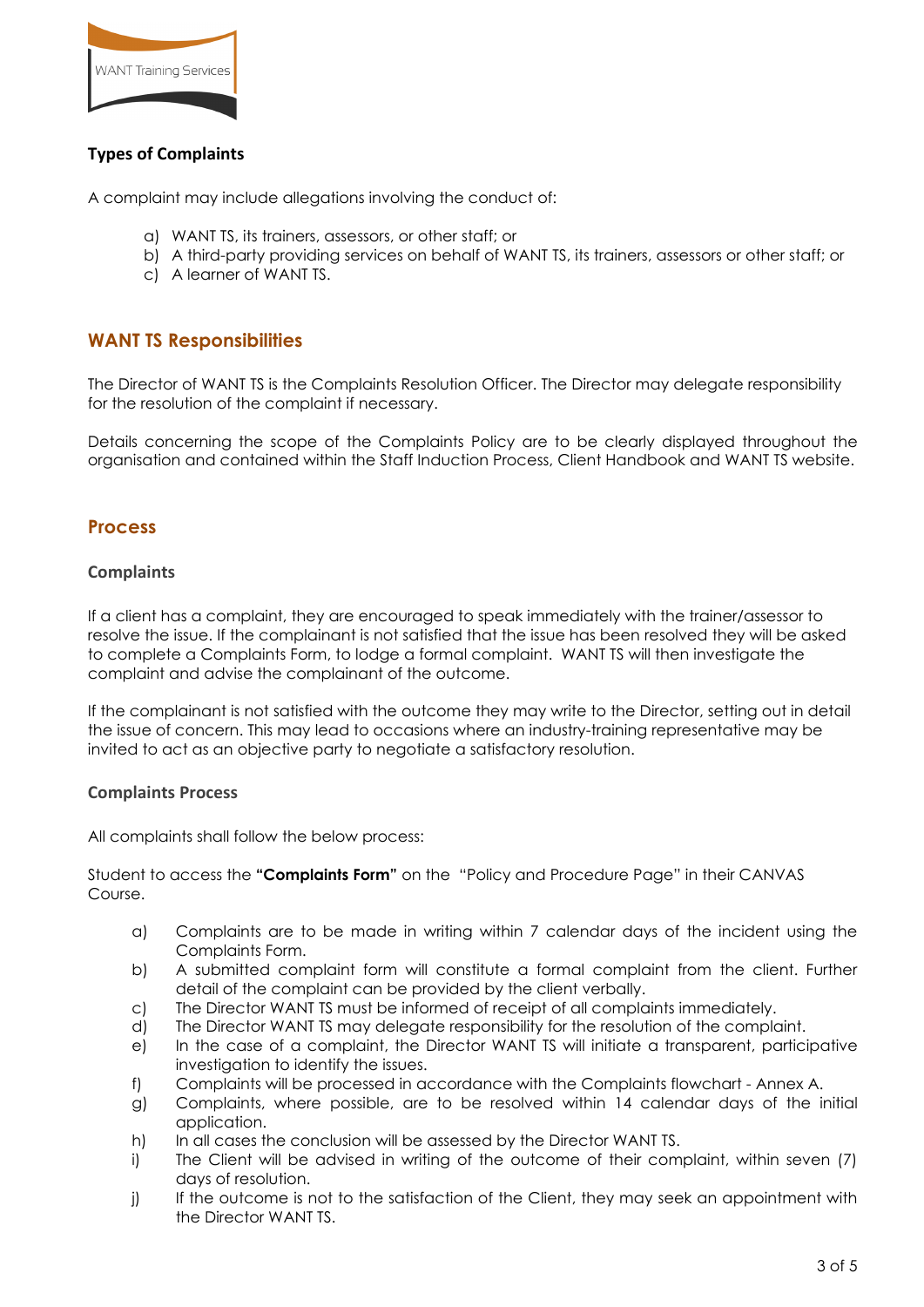

# **Types of Complaints**

A complaint may include allegations involving the conduct of:

- a) WANT TS, its trainers, assessors, or other staff; or
- b) A third-party providing services on behalf of WANT TS, its trainers, assessors or other staff; or
- c) A learner of WANT TS.

### **WANT TS Responsibilities**

The Director of WANT TS is the Complaints Resolution Officer. The Director may delegate responsibility for the resolution of the complaint if necessary.

Details concerning the scope of the Complaints Policy are to be clearly displayed throughout the organisation and contained within the Staff Induction Process, Client Handbook and WANT TS website.

#### **Process**

#### **Complaints**

If a client has a complaint, they are encouraged to speak immediately with the trainer/assessor to resolve the issue. If the complainant is not satisfied that the issue has been resolved they will be asked to complete a Complaints Form, to lodge a formal complaint. WANT TS will then investigate the complaint and advise the complainant of the outcome.

If the complainant is not satisfied with the outcome they may write to the Director, setting out in detail the issue of concern. This may lead to occasions where an industry-training representative may be invited to act as an objective party to negotiate a satisfactory resolution.

#### **Complaints Process**

All complaints shall follow the below process:

Student to access the **"Complaints Form"** on the "Policy and Procedure Page" in their CANVAS Course.

- a) Complaints are to be made in writing within 7 calendar days of the incident using the Complaints Form.
- b) A submitted complaint form will constitute a formal complaint from the client. Further detail of the complaint can be provided by the client verbally.
- c) The Director WANT TS must be informed of receipt of all complaints immediately.
- d) The Director WANT TS may delegate responsibility for the resolution of the complaint.
- e) In the case of a complaint, the Director WANT TS will initiate a transparent, participative investigation to identify the issues.
- f) Complaints will be processed in accordance with the Complaints flowchart Annex A.
- g) Complaints, where possible, are to be resolved within 14 calendar days of the initial application.
- h) In all cases the conclusion will be assessed by the Director WANT TS.
- i) The Client will be advised in writing of the outcome of their complaint, within seven (7) days of resolution.
- j) If the outcome is not to the satisfaction of the Client, they may seek an appointment with the Director WANT TS.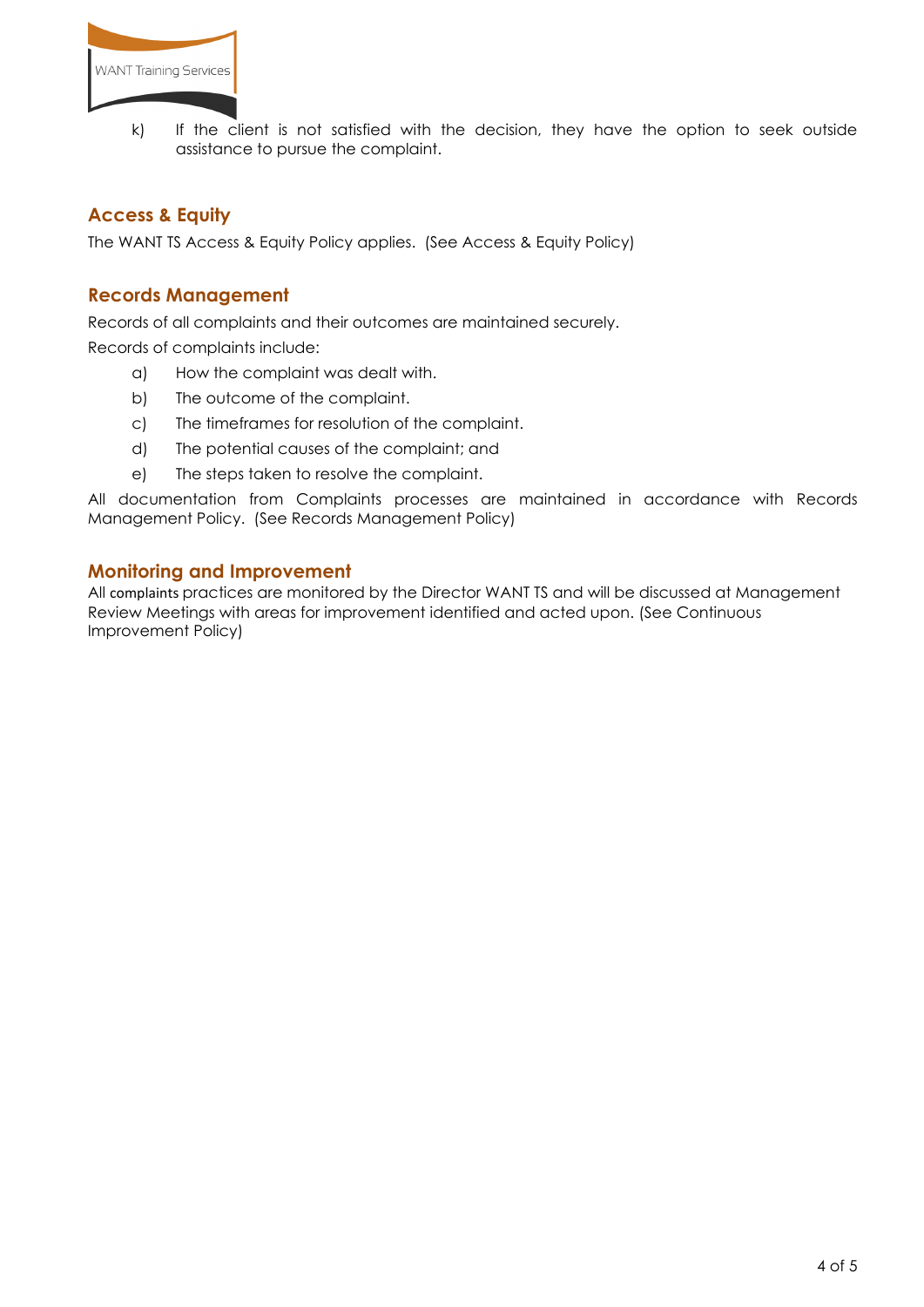

k) If the client is not satisfied with the decision, they have the option to seek outside assistance to pursue the complaint.

# **Access & Equity**

The WANT TS Access & Equity Policy applies. (See Access & Equity Policy)

#### **Records Management**

Records of all complaints and their outcomes are maintained securely.

Records of complaints include:

- a) How the complaint was dealt with.
- b) The outcome of the complaint.
- c) The timeframes for resolution of the complaint.
- d) The potential causes of the complaint; and
- e) The steps taken to resolve the complaint.

All documentation from Complaints processes are maintained in accordance with Records Management Policy. (See Records Management Policy)

#### **Monitoring and Improvement**

All complaints practices are monitored by the Director WANT TS and will be discussed at Management Review Meetings with areas for improvement identified and acted upon. (See Continuous Improvement Policy)